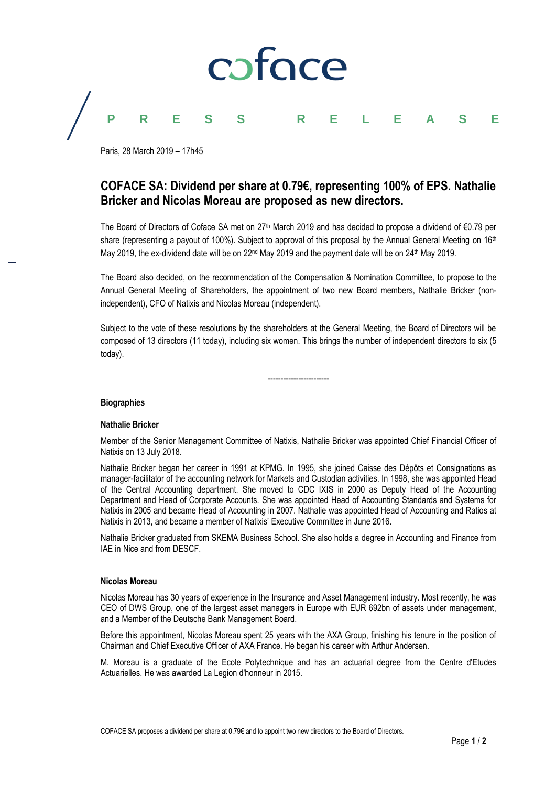

Paris, 28 March 2019 – 17h45

## **COFACE SA: Dividend per share at 0.79€, representing 100% of EPS. Nathalie Bricker and Nicolas Moreau are proposed as new directors.**

The Board of Directors of Coface SA met on 27<sup>th</sup> March 2019 and has decided to propose a dividend of €0.79 per share (representing a payout of 100%). Subject to approval of this proposal by the Annual General Meeting on 16<sup>th</sup> May 2019, the ex-dividend date will be on  $22^{nd}$  May 2019 and the payment date will be on  $24^{th}$  May 2019.

The Board also decided, on the recommendation of the Compensation & Nomination Committee, to propose to the Annual General Meeting of Shareholders, the appointment of two new Board members, Nathalie Bricker (nonindependent), CFO of Natixis and Nicolas Moreau (independent).

Subject to the vote of these resolutions by the shareholders at the General Meeting, the Board of Directors will be composed of 13 directors (11 today), including six women. This brings the number of independent directors to six (5 today).

------------------------

# **Biographies**

#### **Nathalie Bricker**

Member of the Senior Management Committee of Natixis, Nathalie Bricker was appointed Chief Financial Officer of Natixis on 13 July 2018.

Nathalie Bricker began her career in 1991 at KPMG. In 1995, she joined Caisse des Dépôts et Consignations as manager-facilitator of the accounting network for Markets and Custodian activities. In 1998, she was appointed Head of the Central Accounting department. She moved to CDC IXIS in 2000 as Deputy Head of the Accounting Department and Head of Corporate Accounts. She was appointed Head of Accounting Standards and Systems for Natixis in 2005 and became Head of Accounting in 2007. Nathalie was appointed Head of Accounting and Ratios at Natixis in 2013, and became a member of Natixis' Executive Committee in June 2016.

Nathalie Bricker graduated from SKEMA Business School. She also holds a degree in Accounting and Finance from IAE in Nice and from DESCF.

#### **Nicolas Moreau**

Nicolas Moreau has 30 years of experience in the Insurance and Asset Management industry. Most recently, he was CEO of DWS Group, one of the largest asset managers in Europe with EUR 692bn of assets under management, and a Member of the Deutsche Bank Management Board.

Before this appointment, Nicolas Moreau spent 25 years with the AXA Group, finishing his tenure in the position of Chairman and Chief Executive Officer of AXA France. He began his career with Arthur Andersen.

M. Moreau is a graduate of the Ecole Polytechnique and has an actuarial degree from the Centre d'Etudes Actuarielles. He was awarded La Legion d'honneur in 2015.